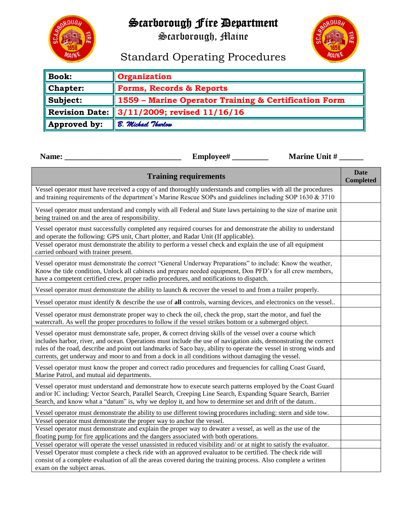## Scarborough Fire Department

 $0 \cup G$ 

Scarborough, Maine



## Standard Operating Procedures

| <b>Book:</b> | <b>Organization</b>                                  |  |  |  |
|--------------|------------------------------------------------------|--|--|--|
| Chapter:     | Forms, Records & Reports                             |  |  |  |
| Subject:     | 1559 - Marine Operator Training & Certification Form |  |  |  |
|              | <b>Revision Date: 3/11/2009; revised 11/16/16</b>    |  |  |  |
| Approved by: | <b>B. Michael Thurlow</b>                            |  |  |  |

| Name:                                                                                                                                                                                                                                                                                                                                                                                                                                                    | Employee#                    | <b>Marine Unit #</b> |                          |  |  |  |  |
|----------------------------------------------------------------------------------------------------------------------------------------------------------------------------------------------------------------------------------------------------------------------------------------------------------------------------------------------------------------------------------------------------------------------------------------------------------|------------------------------|----------------------|--------------------------|--|--|--|--|
|                                                                                                                                                                                                                                                                                                                                                                                                                                                          | <b>Training requirements</b> |                      | Date<br><b>Completed</b> |  |  |  |  |
| Vessel operator must have received a copy of and thoroughly understands and complies with all the procedures<br>and training requirements of the department's Marine Rescue SOPs and guidelines including SOP 1630 & 3710                                                                                                                                                                                                                                |                              |                      |                          |  |  |  |  |
| Vessel operator must understand and comply with all Federal and State laws pertaining to the size of marine unit<br>being trained on and the area of responsibility.                                                                                                                                                                                                                                                                                     |                              |                      |                          |  |  |  |  |
| Vessel operator must successfully completed any required courses for and demonstrate the ability to understand<br>and operate the following: GPS unit, Chart plotter, and Radar Unit (If applicable).                                                                                                                                                                                                                                                    |                              |                      |                          |  |  |  |  |
| Vessel operator must demonstrate the ability to perform a vessel check and explain the use of all equipment<br>carried onboard with trainer present.                                                                                                                                                                                                                                                                                                     |                              |                      |                          |  |  |  |  |
| Vessel operator must demonstrate the correct "General Underway Preparations" to include: Know the weather,<br>Know the tide condition, Unlock all cabinets and prepare needed equipment, Don PFD's for all crew members,<br>have a competent certified crew, proper radio procedures, and notifications to dispatch.                                                                                                                                     |                              |                      |                          |  |  |  |  |
| Vessel operator must demonstrate the ability to launch $\&$ recover the vessel to and from a trailer properly.                                                                                                                                                                                                                                                                                                                                           |                              |                      |                          |  |  |  |  |
| Vessel operator must identify & describe the use of all controls, warning devices, and electronics on the vessel                                                                                                                                                                                                                                                                                                                                         |                              |                      |                          |  |  |  |  |
| Vessel operator must demonstrate proper way to check the oil, check the prop, start the motor, and fuel the<br>watercraft. As well the proper procedures to follow if the vessel strikes bottom or a submerged object.                                                                                                                                                                                                                                   |                              |                      |                          |  |  |  |  |
| Vessel operator must demonstrate safe, proper, & correct driving skills of the vessel over a course which<br>includes harbor, river, and ocean. Operations must include the use of navigation aids, demonstrating the correct<br>rules of the road, describe and point out landmarks of Saco bay, ability to operate the vessel in strong winds and<br>currents, get underway and moor to and from a dock in all conditions without damaging the vessel. |                              |                      |                          |  |  |  |  |
| Vessel operator must know the proper and correct radio procedures and frequencies for calling Coast Guard,<br>Marine Patrol, and mutual aid departments.                                                                                                                                                                                                                                                                                                 |                              |                      |                          |  |  |  |  |
| Vessel operator must understand and demonstrate how to execute search patterns employed by the Coast Guard<br>and/or IC including: Vector Search, Parallel Search, Creeping Line Search, Expanding Square Search, Barrier<br>Search, and know what a "datum" is, why we deploy it, and how to determine set and drift of the datum                                                                                                                       |                              |                      |                          |  |  |  |  |
| Vessel operator must demonstrate the ability to use different towing procedures including: stern and side tow.                                                                                                                                                                                                                                                                                                                                           |                              |                      |                          |  |  |  |  |
| Vessel operator must demonstrate the proper way to anchor the vessel.                                                                                                                                                                                                                                                                                                                                                                                    |                              |                      |                          |  |  |  |  |
| Vessel operator must demonstrate and explain the proper way to dewater a vessel, as well as the use of the<br>floating pump for fire applications and the dangers associated with both operations.                                                                                                                                                                                                                                                       |                              |                      |                          |  |  |  |  |
| Vessel operator will operate the vessel unassisted in reduced visibility and/ or at night to satisfy the evaluator.                                                                                                                                                                                                                                                                                                                                      |                              |                      |                          |  |  |  |  |
| Vessel Operator must complete a check ride with an approved evaluator to be certified. The check ride will                                                                                                                                                                                                                                                                                                                                               |                              |                      |                          |  |  |  |  |
| consist of a complete evaluation of all the areas covered during the training process. Also complete a written<br>exam on the subject areas.                                                                                                                                                                                                                                                                                                             |                              |                      |                          |  |  |  |  |